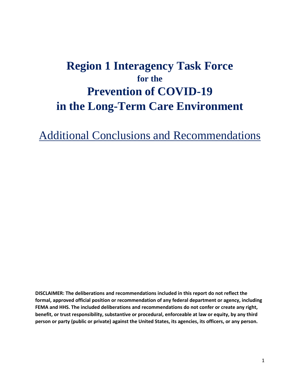## **Region 1 Interagency Task Force for the Prevention of COVID-19 in the Long-Term Care Environment**

Additional Conclusions and Recommendations

 **formal, approved official position or recommendation of any federal department or agency, including FEMA and HHS. The included deliberations and recommendations do not confer or create any right, DISCLAIMER: The deliberations and recommendations included in this report do not reflect the benefit, or trust responsibility, substantive or procedural, enforceable at law or equity, by any third person or party (public or private) against the United States, its agencies, its officers, or any person.**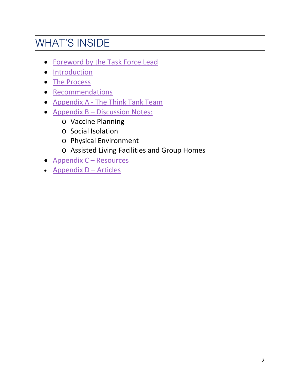## WHAT'S INSIDE

- Foreword by the Task Force Lead
- [Introduction](#page-3-0)
- [The Process](#page-4-0)
- [Recommendations](#page-5-0)
- Appendix A The Think Tank Team
- **Appendix B Discussion Notes:** 
	- o Vaccine Planning
	- o Social Isolation
	- o Physical Environment
	- o Assisted Living Facilities and Group Homes
- Appendix C Resources
- **Appendix D Articles**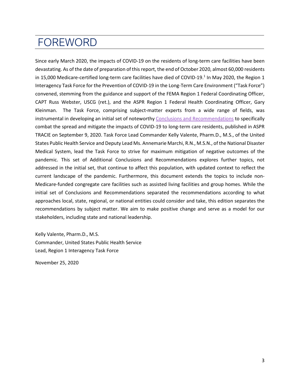## <span id="page-2-0"></span>FOREWORD

 Since early March 2020, the impacts of COVID-19 on the residents of long-term care facilities have been devastating. As of the date of preparation of this report, the end of October 2020, almost 60,000 residents Kleinman. The Task Force, comprising subject-matter experts from a wide range of fields, was instrumental in developing an initial set of noteworthy [Conclusions and Recommendations](https://files.asprtracie.hhs.gov/documents/region-1-interagency-task-force-for-the-prevention-of-covid-19-in-the-long-term-care-environment.pdf) to specifically States Public Health Service and Deputy Lead Ms. Annemarie Marchi, R.N., M.S.N., of the National Disaster Medical System, lead the Task Force to strive for maximum mitigation of negative outcomes of the current landscape of the pandemic. Furthermore, this document extends the topics to include non- approaches local, state, regional, or national entities could consider and take, this edition separates the recommendations by subject matter. We aim to make positive change and serve as a model for our in 15,000 Medicare-certified long-term care facilities have died of COVID-19.<sup>1</sup> In May 2020, the Region 1 Interagency Task Force for the Prevention of COVID-19 in the Long-Term Care Environment ("Task Force") convened, stemming from the guidance and support of the FEMA Region 1 Federal Coordinating Officer, CAPT Russ Webster, USCG (ret.), and the ASPR Region 1 Federal Health Coordinating Officer, Gary combat the spread and mitigate the impacts of COVID-19 to long-term care residents, published in ASPR TRACIE on September 9, 2020. Task Force Lead Commander Kelly Valente, Pharm.D., M.S., of the United pandemic. This set of Additional Conclusions and Recommendations explores further topics, not addressed in the initial set, that continue to affect this population, with updated context to reflect the Medicare-funded congregate care facilities such as assisted living facilities and group homes. While the initial set of Conclusions and Recommendations separated the recommendations according to what stakeholders, including state and national leadership.

Kelly Valente, Pharm.D., M.S. Commander, United States Public Health Service Lead, Region 1 Interagency Task Force

November 25, 2020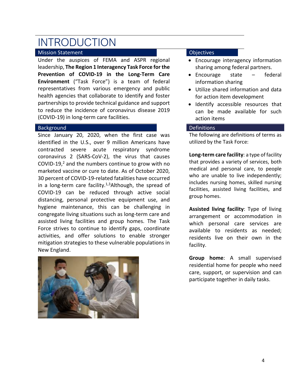## <span id="page-3-0"></span>INTRODUCTION

### Mission Statement

 **Environment** ("Task Force") is a team of federal health agencies that collaborate to identify and foster Under the auspices of FEMA and ASPR regional leadership, **The Region 1 Interagency Task Force for the Prevention of COVID-19 in the Long-Term Care**  representatives from various emergency and public partnerships to provide technical guidance and support to reduce the incidence of coronavirus disease 2019 (COVID-19) in long-term care facilities.

#### Background

COVID-19, $^2$  and the numbers continue to grow with no marketed vaccine or cure to date. As of October 2020, 30 percent of COVID-19-related fatalities have occurred distancing, personal protective equipment use, and assisted living facilities and group homes. The Task Since January 20, 2020, when the first case was identified in the U.S., over 9 million Americans have contracted severe acute respiratory syndrome coronavirus 2 (SARS-CoV-2), the virus that causes in a long-term care facility.<sup>1,3</sup>Although, the spread of COVID-19 can be reduced through active social hygiene maintenance, this can be challenging in congregate living situations such as long-term care and Force strives to continue to identify gaps, coordinate activities, and offer solutions to enable stronger mitigation strategies to these vulnerable populations in New England.



#### **Objectives**

- Encourage interagency information sharing among federal partners.
- Encourage state federal information sharing
- Utilize shared information and data for action item development
- • Identify accessible resources that can be made available for such action items

#### Definitions

 The following are definitions of terms as utilized by the Task Force:

 includes nursing homes, skilled nursing **Long-term care facility**: a type of facility that provides a variety of services, both medical and personal care, to people who are unable to live independently; facilities, assisted living facilities, and group homes.

 which personal care services are residents live on their own in the **Assisted living facility**: Type of living arrangement or accommodation in available to residents as needed; facility.

 residential home for people who need participate together in daily tasks. **Group home**: A small supervised care, support, or supervision and can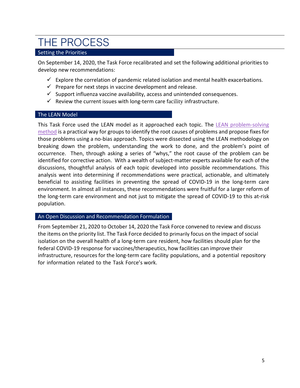## <span id="page-4-0"></span>THE PROCESS

### Setting the Priorities

 On September 14, 2020, the Task Force recalibrated and set the following additional priorities to develop new recommendations:

- $\checkmark$  Explore the correlation of pandemic related isolation and mental health exacerbations.
- $\checkmark$  Prepare for next steps in vaccine development and release.
- $\checkmark$  Support influenza vaccine availability, access and unintended consequences.
- $\checkmark$  Review the current issues with long-term care facility infrastructure.

### The LEAN Model

This Task Force used the LEAN model as it approached each topic. The LEAN problem-solving [method](https://youtu.be/SrlYkx41wEE) is a practical way for groups to identify the root causes of problems and propose fixes for those problems using a no-bias approach. Topics were dissected using the LEAN methodology on breaking down the problem, understanding the work to done, and the problem's point of identified for corrective action. With a wealth of subject-matter experts available for each of the occurrence. Then, through asking a series of "whys," the root cause of the problem can be discussions, thoughtful analysis of each topic developed into possible recommendations. This analysis went into determining if recommendations were practical, actionable, and ultimately beneficial to assisting facilities in preventing the spread of COVID-19 in the long-term care environment. In almost all instances, these recommendations were fruitful for a larger reform of the long-term care environment and not just to mitigate the spread of COVID-19 to this at-risk population.

#### An Open Discussion and Recommendation Formulation

 From September 21, 2020 to October 14, 2020 the Task Force convened to review and discuss the items on the priority list. The Task Force decided to primarily focus on the impact of social isolation on the overall health of a long-term care resident, how facilities should plan for the federal COVID-19 response for vaccines/therapeutics, how facilities can improve their infrastructure, resources for the long-term care facility populations, and a potential repository for information related to the Task Force's work.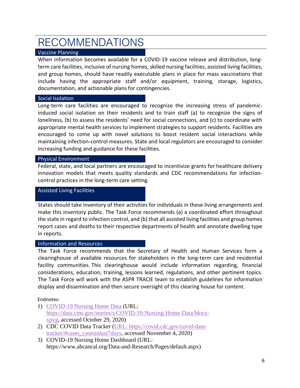# <span id="page-5-0"></span>RECOMMENDATIONS

### Vaccine Planning

 term care facilities, inclusive of nursing homes, skilled nursing facilities, assisted living facilities, When information becomes available for a COVID-19 vaccine release and distribution, longand group homes, should have readily executable plans in place for mass vaccinations that include having the appropriate staff and/or equipment, training, storage, logistics, documentation, and actionable plans for contingencies.

#### Social Isolation

 encouraged to come up with novel solutions to boost resident social interactions while Long-term care facilities are encouraged to recognize the increasing stress of pandemicinduced social isolation on their residents and to train staff (a) to recognize the signs of loneliness, (b) to assess the residents' need for social connections, and (c) to coordinate with appropriate mental health services to implement strategies to support residents. Facilities are maintaining infection-control measures. State and local regulators are encouraged to consider increasing funding and guidance for these facilities.

### Physical Environment

 Federal, state, and local partners are encouraged to incentivize grants for healthcare delivery innovation models that meets quality standards and CDC recommendations for infectioncontrol practices in the long-term care setting.

#### Assisted Living Facilities

 States should take inventory of their activities for individuals in these living arrangements and the state in regard to infection control, and (b) that all assisted living facilities and group homes report cases and deaths to their respective departments of health and annotate dwelling type make this inventory public. The Task Force recommends (a) a coordinated effort throughout in reports.

### Information and Resources

 The Task Force recommends that the Secretary of Health and Human Services form a The Task Force will work with the ASPR TRACIE team to establish guidelines for information clearinghouse of available resources for stakeholders in the long-term care and residential facility communities. This clearinghouse would include information regarding, financial considerations, education, training, lessons learned, regulations, and other pertinent topics. display and dissemination and then secure oversight of this clearing house for content.

#### Endnotes:

- 1) [COVID-19 Nursing Home Data](https://data.cms.gov/stories/s/COVID-19-Nursing-Home-Data/bkwz-xpvg) (URL: [https://data.cms.gov/stories/s/COVID-19-Nursing-Home-Data/bkwz](https://data.cms.gov/stories/s/COVID-19-Nursing-Home-Data/bkwz-xpvg)[xpvg,](https://data.cms.gov/stories/s/COVID-19-Nursing-Home-Data/bkwz-xpvg) accessed October 29, 2020)
- 2) CDC COVID Data Tracker (URL: https://covid.cdc.gov/covid-datatracker/#cases\_casesinlast7days, accessed November 4, 2020)
- 3) COVID-19 Nursing Home Dashboard (URL: https://www.ahcancal.org/Data-and-Research/Pages/default.aspx)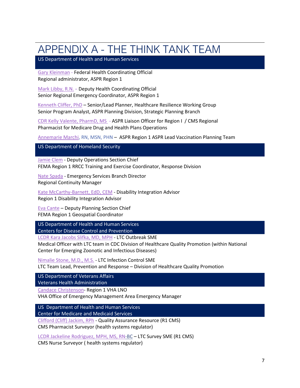## <span id="page-6-0"></span>APPENDIX A - THE THINK TANK TEAM

US Department of Health and Human Services

[Gary Kleinman](mailto:Gary.kleinman@hhs.gov) - Federal Health Coordinating Official Regional administrator, ASPR Region 1

[Mark Libby,](mailto:mark.libby@hhs.gov) R.N. - Deputy Health Coordinating Official Senior Regional Emergency Coordinator, ASPR Region 1

[Kenneth Cliffer, PhD](mailto:kenneth.cliffer@hhs.gov) - Senior/Lead Planner, Healthcare Resilience Working Group Senior Program Analyst, ASPR Planning Division, Strategic Planning Branch

 [CDR Kelly Valente,](mailto:kelly.valente@cms.hhs.gov) PharmD, MS - ASPR Liaison Officer for Region I / CMS Regional Pharmacist for Medicare Drug and Health Plans Operations

[Annemarie Marchi,](mailto:Annemarie.Marchi@hhs.gov) RN, MSN, PHN - ASPR Region 1 ASPR Lead Vaccination Planning Team

US Department of Homeland Security

[Jamie Clem](mailto:Jameson.clem@fema.dhs.gov) - Deputy Operations Section Chief FEMA Region 1 RRCC Training and Exercise Coordinator, Response Division

[Nate Spada](mailto:Nathan.spada@fema.dhs.gov) - Emergency Services Branch Director Regional Continuity Manager

[Kate McCarthy-Barnett, EdD, CEM](mailto:Kate.mccarthybarnett@fema.dhs.gov) - Disability Integration Advisor Region 1 Disability Integration Advisor

[Eva Cante](mailto:eva.cante@fema.dhs.gov) - Deputy Planning Section Chief FEMA Region 1 Geospatial Coordinator

US Department of Health and Human Services Centers for Disease Control and Prevention

[LCDR Kara Jacobs Slifka, MD, MPH](mailto:ipf8@cdc.gov) - LTC Outbreak SME

 Medical Officer with LTC team in CDC Division of Healthcare Quality Promotion (within National Center for Emerging Zoonotic and Infectious Diseases)

[Nimalie Stone,](mailto:eiy2@cdc.gov) M.D., M.S. - LTC Infection Control SME

LTC Team Lead, Prevention and Response – Division of Healthcare Quality Promotion

US Department of Veterans Affairs

Veterans Health Administration

[Candace Christenson-](mailto:Candice.Christenson@va.gov) Region 1 VHA LNO

VHA Office of Emergency Management Area Emergency Manager

US Department of Health and Human Services Center for Medicare and Medicaid Services

[Clifford \(Cliff\) Jackim,](mailto:clifford.jackim@cms.hhs.gov) RPh - Quality Assurance Resource (R1 CMS)

CMS Pharmacist Surveyor (health systems regulator)

[LCDR Jackeline Rodriguez, MPH, MS, RN-](mailto:Jackeline.rodriguez@cms.hhs.gov)BC – LTC Survey SME (R1 CMS)

CMS Nurse Surveyor ( health systems regulator)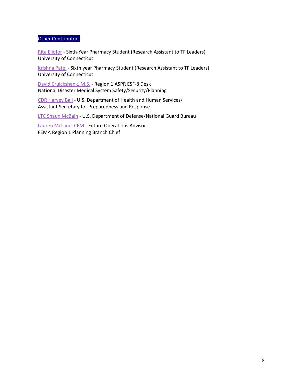#### Other Contributors

[Rita Ejiofor](mailto:Rita.ejiofor@uconn.edu) - Sixth-Year Pharmacy Student (Research Assistant to TF Leaders) University of Connecticut

[Krishna Patel](mailto:krishna.u.patel@uconn.edu) - Sixth year Pharmacy Student (Research Assistant to TF Leaders) University of Connecticut

[David Cruickshank,](mailto:david.cruickshank@hhs.gov) M.S. - Region 1 ASPR ESF-8 Desk National Disaster Medical System Safety/Security/Planning

 [CDR Harvey Ball](mailto:Harvey.ball@hhs.gov) - U.S. Department of Health and Human Services/ Assistant Secretary for Preparedness and Response

[LTC Shaun McBain](mailto:shaun.mcbain@ees.hhs.gov) - U.S. Department of Defense/National Guard Bureau

 [Lauren McLane, CEM](mailto:Lauren.mclane@fema.dhs.gov) - Future Operations Advisor FEMA Region 1 Planning Branch Chief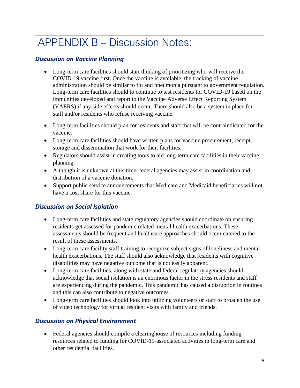# <span id="page-8-0"></span>APPENDIX B – Discussion Notes:

## *Discussion on Vaccine Planning*

- staff and/or residents who refuse receiving vaccine. • Long-term care facilities should start thinking of prioritizing who will receive the COVID-19 vaccine first. Once the vaccine is available, the tracking of vaccine administration should be similar to flu and pneumonia pursuant to government regulation. Long-term care facilities should to continue to test residents for COVID-19 based on the immunities developed and report to the Vaccine Adverse Effect Reporting System (VAERS) if any side effects should occur. There should also be a system in place for
- Long-term facilities should plan for residents and staff that will be contraindicated for the vaccine.
- storage and dissemination that work for their facilities. • Long-term care facilities should have written plans for vaccine procurement, receipt,
- planning. • Regulators should assist in creating tools to aid long-term care facilities in their vaccine
- • Although it is unknown at this time, federal agencies may assist in coordination and distribution of a vaccine donation.
- Support public service announcements that Medicare and Medicaid beneficiaries will not have a cost share for this vaccine.

## *Discussion on Social Isolation*

- Long-term care facilities and state regulatory agencies should coordinate on ensuring residents get assessed for pandemic related mental health exacerbations. These assessments should be frequent and healthcare approaches should occur catered to the result of these assessments.
- Long-term care facility staff training to recognize subject signs of loneliness and mental health exacerbations. The staff should also acknowledge that residents with cognitive disabilities may have negative outcome that is not easily apparent.
- Long-term care facilities, along with state and federal regulatory agencies should acknowledge that social isolation is an enormous factor in the stress residents and staff are experiencing during the pandemic. This pandemic has caused a disruption in routines and this can also contribute to negative outcomes.
- Long-term care facilities should look into utilizing volunteers or staff to broaden the use of video technology for virtual resident visits with family and friends.

## *Discussion on Physical Environment*

 • Federal agencies should compile a clearinghouse of resources including funding resources related to funding for COVID-19-associated activities in long-term care and other residential facilities.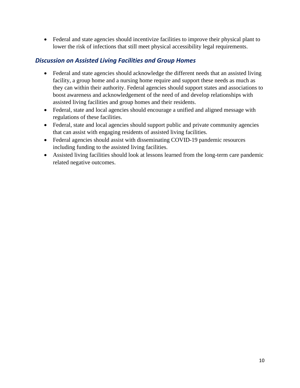• Federal and state agencies should incentivize facilities to improve their physical plant to lower the risk of infections that still meet physical accessibility legal requirements.

### *Discussion on Assisted Living Facilities and Group Homes*

- facility, a group home and a nursing home require and support these needs as much as • Federal and state agencies should acknowledge the different needs that an assisted living they can within their authority. Federal agencies should support states and associations to boost awareness and acknowledgement of the need of and develop relationships with assisted living facilities and group homes and their residents.
- Federal, state and local agencies should encourage a unified and aligned message with regulations of these facilities.
- Federal, state and local agencies should support public and private community agencies that can assist with engaging residents of assisted living facilities.
- Federal agencies should assist with disseminating COVID-19 pandemic resources including funding to the assisted living facilities.
- Assisted living facilities should look at lessons learned from the long-term care pandemic related negative outcomes.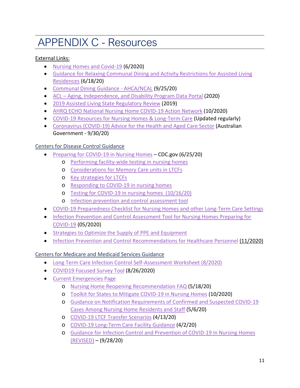# <span id="page-10-0"></span>APPENDIX C - Resources

### External Links:

- [Nursing Homes and Covid-19](https://www.naco.org/sites/default/files/documents/Nursing%20Homes%20and%20COVID-19_v5_06.19.20.pdf?utm_campaign=phpartners&utm_medium=email&utm_source=govdelivery) (6/2020)
- [Residences](https://health.ri.gov/publications/guidance/covid-assisted-living-residence-dining.pdf) (6/18/20) • [Guidance for Relaxing Communal Dining and Activity Restrictions for Assisted Living](https://health.ri.gov/publications/guidance/covid-assisted-living-residence-dining.pdf)
- [Communal Dining Guidance -](https://www.ahcancal.org/Survey-Regulatory-Legal/Emergency-Preparedness/Documents/COVID19/Communal-Dining-Approaches.pdf) AHCA/NCAL (9/25/20)
- [ACL Aging, Independence, and Disability Program Data Portal](https://agid.acl.gov/DataGlance/NORS/) (2020)
- [2019 Assisted Living State Regulatory Review](https://ltcombudsman.org/uploads/files/support/2019_reg_review.pdf) (2019)
- [AHRQ ECHO National Nursing Home COVID-19 Action Network](https://hsc.unm.edu/echo/institute-programs/nursing-home/pages/) (10/2020)
- [COVID-19 Resources for Nursing Homes & Long-Term Care](https://www.johnahartford.org/dissemination-center/view/nursing-home-long-term-care-resources) (Updated regularly)
- Government 9/30/20) • [Coronavirus \(COVID-19\) Advice for the Health and Aged Care Sector](https://www.health.gov.au/news/health-alerts/novel-coronavirus-2019-ncov-health-alert/coronavirus-covid-19-advice-for-the-health-and-aged-care-sector) (Australian

### Centers for Disease Control Guidance

- [Preparing for COVID-19 in Nursing Homes](https://www.cdc.gov/coronavirus/2019-ncov/hcp/long-term-care.html?CDC_AA_refVal=https%3A%2F%2Fwww.cdc.gov%2Fcoronavirus%2F2019-ncov%2Fhealthcare-facilities%2Fprevent-spread-in-long-term-care-facilities.html)  CDC.gov (6/25/20)
	- o [Performing facility-wide testing in nursing homes](https://www.cdc.gov/coronavirus/2019-ncov/hcp/nursing-homes-facility-wide-testing.html)
	- o [Considerations for Memory Care units in LTCFs](https://www.cdc.gov/coronavirus/2019-ncov/hcp/memory-care.html)
	- o [Key strategies for LTCFs](https://www.cdc.gov/coronavirus/2019-ncov/hcp/long-term-care-strategies.html)
	- o [Responding to COVID-19 in nursing homes](https://www.cdc.gov/coronavirus/2019-ncov/hcp/nursing-homes-responding.html)
	- o [Testing for COVID-19 in nursing homes](https://www.cdc.gov/coronavirus/2019-ncov/hcp/nursing-homes-testing.html) (10/16/20)
	- o [Infection prevention and control assessment tool](https://www.cdc.gov/coronavirus/2019-ncov/hcp/assessment-tool-for-nursing-homes.html)
- [COVID-19 Preparedness Checklist for Nursing Homes and other Long-Term Care Settings](https://www.cdc.gov/coronavirus/2019-ncov/downloads/novel-coronavirus-2019-Nursing-Homes-Preparedness-Checklist_3_13.pdf)
- Infection Prevention and Control Assessment Tool for Nursing Homes Preparing for [COVID-19](https://www.cdc.gov/coronavirus/2019-ncov/downloads/hcp/assessment-tool-nursing-homes.pdf) (05/2020)
- **Strategies to Optimize the Supply of PPE and Equipment**
- [Infection Prevention and Control Recommendations for Healthcare Personnel](https://www.cdc.gov/coronavirus/2019-ncov/hcp/infection-control-recommendations.html?CDC_AA_refVal=https%3A%2F%2Fwww.cdc.gov%2Fcoronavirus%2F2019-ncov%2Finfection-control%2Fcontrol-recommendations.html) (11/2020)

## Centers for Medicare and Medicaid Services Guidance

- [Long Term Care Infection Control Self-Assessment Worksheet](https://qsep.cms.gov/data/252/A._NursingHome_InfectionControl_Worksheet11-8-19508.pdf) (8/2020)
- [COVID19 Focused Survey Tool](https://www.cms.gov/files/document/qso-20-38-nh.pdf) (8/26/2020)
- [Current Emergencies Page](https://www.cms.gov/About-CMS/Agency-Information/Emergency/EPRO/Current-Emergencies/Current-Emergencies-page) 
	- o [Nursing Home Reopening Recommendation FAQ \(](https://www.cms.gov/files/document/covid-nursing-home-reopening-recommendation-faqs.pdf)5/18/20)
	- o [Toolkit for States to Mitigate COVID-19 in Nursing Homes](https://www.cms.gov/files/document/covid-toolkit-states-mitigate-covid-19-nursing-homes.pdf) (10/2020)
	- [Cases Among Nursing Home Residents and Staff](https://www.cms.gov/files/document/qso-20-29-nh.pdf) (5/6/20) o [Guidance on Notification Requirements of Confirmed and Suspected COVID-19](https://www.cms.gov/files/document/qso-20-29-nh.pdf)
	- o [COVID-19 LTCF Transfer Scenarios](https://www.cms.gov/files/document/qso-20-25-nh.pdf) (4/13/20)
	- o [COVID-19 Long-Term Care Facility Guidance](https://www.cms.gov/files/document/4220-covid-19-long-term-care-facility-guidance.pdf) (4/2/20)
	- [\(REVISED\)](https://www.cms.gov/files/document/qso-20-14-nh-revised.pdf)  (9/28/20) o [Guidance for Infection Control and Prevention of COVID-19 in Nursing Homes](https://www.cms.gov/files/document/qso-20-14-nh-revised.pdf)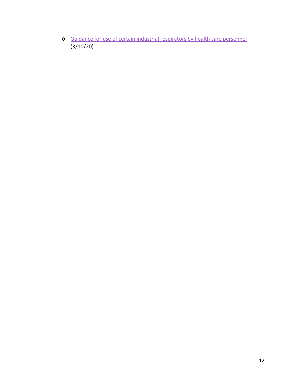o [Guidance for use of certain industrial respirators by health care personnel](https://www.cms.gov/files/document/qso-20-17-all.pdf)  (3/10/20)